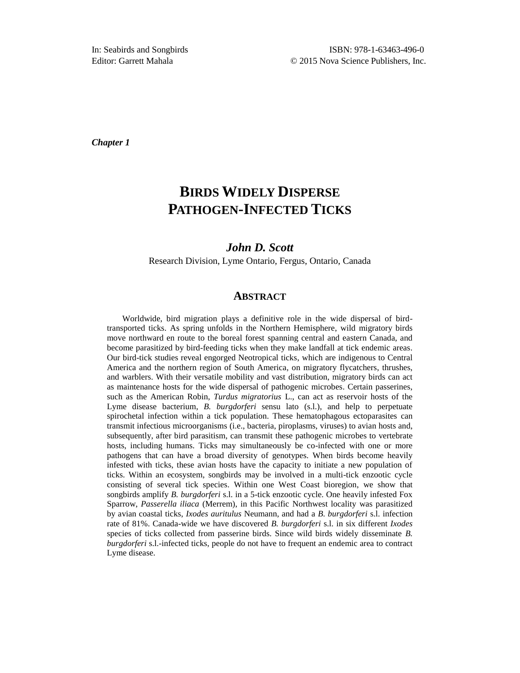*Chapter 1*

# **BIRDS WIDELY DISPERSE PATHOGEN-INFECTED TICKS**

#### *John D. Scott*

Research Division, Lyme Ontario, Fergus, Ontario, Canada

#### **ABSTRACT**

Worldwide, bird migration plays a definitive role in the wide dispersal of birdtransported ticks. As spring unfolds in the Northern Hemisphere, wild migratory birds move northward en route to the boreal forest spanning central and eastern Canada, and become parasitized by bird-feeding ticks when they make landfall at tick endemic areas. Our bird-tick studies reveal engorged Neotropical ticks, which are indigenous to Central America and the northern region of South America, on migratory flycatchers, thrushes, and warblers. With their versatile mobility and vast distribution, migratory birds can act as maintenance hosts for the wide dispersal of pathogenic microbes. Certain passerines, such as the American Robin, *Turdus migratorius* L., can act as reservoir hosts of the Lyme disease bacterium, *B. burgdorferi* sensu lato (s.l.), and help to perpetuate spirochetal infection within a tick population. These hematophagous ectoparasites can transmit infectious microorganisms (i.e., bacteria, piroplasms, viruses) to avian hosts and, subsequently, after bird parasitism, can transmit these pathogenic microbes to vertebrate hosts, including humans. Ticks may simultaneously be co-infected with one or more pathogens that can have a broad diversity of genotypes. When birds become heavily infested with ticks, these avian hosts have the capacity to initiate a new population of ticks. Within an ecosystem, songbirds may be involved in a multi-tick enzootic cycle consisting of several tick species. Within one West Coast bioregion, we show that songbirds amplify *B. burgdorferi* s.l. in a 5-tick enzootic cycle. One heavily infested Fox Sparrow, *Passerella iliaca* (Merrem), in this Pacific Northwest locality was parasitized by avian coastal ticks, *Ixodes auritulus* Neumann, and had a *B. burgdorferi* s.l. infection rate of 81%. Canada-wide we have discovered *B. burgdorferi* s.l. in six different *Ixodes* species of ticks collected from passerine birds. Since wild birds widely disseminate *B. burgdorferi* s.l.-infected ticks, people do not have to frequent an endemic area to contract Lyme disease.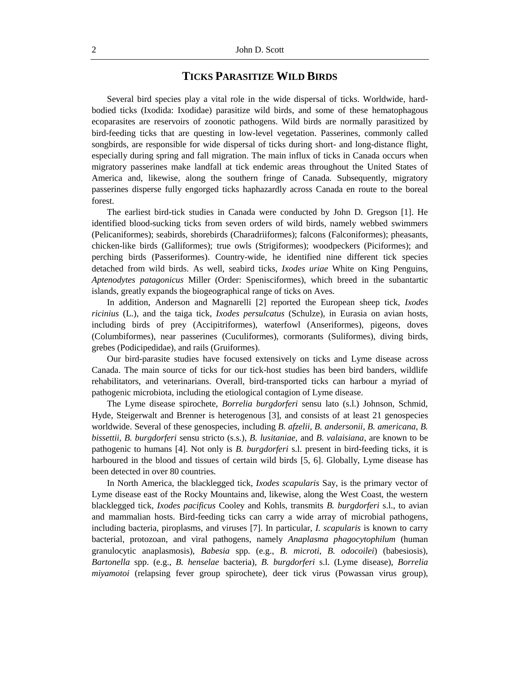## **TICKS PARASITIZE WILD BIRDS**

Several bird species play a vital role in the wide dispersal of ticks. Worldwide, hardbodied ticks (Ixodida: Ixodidae) parasitize wild birds, and some of these hematophagous ecoparasites are reservoirs of zoonotic pathogens. Wild birds are normally parasitized by bird-feeding ticks that are questing in low-level vegetation. Passerines, commonly called songbirds, are responsible for wide dispersal of ticks during short- and long-distance flight, especially during spring and fall migration. The main influx of ticks in Canada occurs when migratory passerines make landfall at tick endemic areas throughout the United States of America and, likewise, along the southern fringe of Canada. Subsequently, migratory passerines disperse fully engorged ticks haphazardly across Canada en route to the boreal forest.

The earliest bird-tick studies in Canada were conducted by John D. Gregson [1]. He identified blood-sucking ticks from seven orders of wild birds, namely webbed swimmers (Pelicaniformes); seabirds, shorebirds (Charadriiformes); falcons (Falconiformes); pheasants, chicken-like birds (Galliformes); true owls (Strigiformes); woodpeckers (Piciformes); and perching birds (Passeriformes). Country-wide, he identified nine different tick species detached from wild birds. As well, seabird ticks, *Ixodes uriae* White on King Penguins, *Aptenodytes patagonicus* Miller (Order: Spenisciformes), which breed in the subantartic islands, greatly expands the biogeographical range of ticks on Aves.

In addition, Anderson and Magnarelli [2] reported the European sheep tick, *Ixodes ricinius* (L.), and the taiga tick, *Ixodes persulcatus* (Schulze), in Eurasia on avian hosts, including birds of prey (Accipitriformes), waterfowl (Anseriformes), pigeons, doves (Columbiformes), near passerines (Cuculiformes), cormorants (Suliformes), diving birds, grebes (Podicipedidae), and rails (Gruiformes).

Our bird-parasite studies have focused extensively on ticks and Lyme disease across Canada. The main source of ticks for our tick-host studies has been bird banders, wildlife rehabilitators, and veterinarians. Overall, bird-transported ticks can harbour a myriad of pathogenic microbiota, including the etiological contagion of Lyme disease.

The Lyme disease spirochete, *Borrelia burgdorferi* sensu lato (s.l.) Johnson, Schmid, Hyde, Steigerwalt and Brenner is heterogenous [3], and consists of at least 21 genospecies worldwide. Several of these genospecies, including *B. afzelii*, *B. andersonii*, *B. americana*, *B. bissettii*, *B. burgdorferi* sensu stricto (s.s.), *B. lusitaniae*, and *B. valaisiana*, are known to be pathogenic to humans [4]. Not only is *B. burgdorferi* s.l. present in bird-feeding ticks, it is harboured in the blood and tissues of certain wild birds [5, 6]. Globally, Lyme disease has been detected in over 80 countries.

In North America, the blacklegged tick, *Ixodes scapularis* Say, is the primary vector of Lyme disease east of the Rocky Mountains and, likewise, along the West Coast, the western blacklegged tick, *Ixodes pacificus* Cooley and Kohls, transmits *B. burgdorferi* s.l., to avian and mammalian hosts. Bird-feeding ticks can carry a wide array of microbial pathogens, including bacteria, piroplasms, and viruses [7]. In particular, *I. scapularis* is known to carry bacterial, protozoan, and viral pathogens, namely *Anaplasma phagocytophilum* (human granulocytic anaplasmosis), *Babesia* spp. (e.g., *B. microti*, *B. odocoilei*) (babesiosis), *Bartonella* spp. (e.g., *B. henselae* bacteria), *B. burgdorferi* s.l. (Lyme disease), *Borrelia miyamotoi* (relapsing fever group spirochete), deer tick virus (Powassan virus group),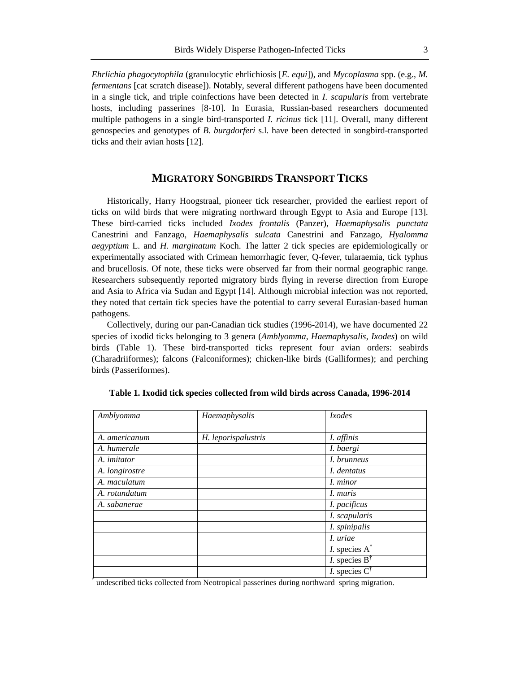*Ehrlichia phagocytophila* (granulocytic ehrlichiosis [*E. equi*]), and *Mycoplasma* spp. (e.g., *M. fermentans* [cat scratch disease]). Notably, several different pathogens have been documented in a single tick, and triple coinfections have been detected in *I. scapularis* from vertebrate hosts, including passerines [8-10]. In Eurasia, Russian-based researchers documented multiple pathogens in a single bird-transported *I. ricinus* tick [11]. Overall, many different genospecies and genotypes of *B. burgdorferi* s.l. have been detected in songbird-transported ticks and their avian hosts [12].

### **MIGRATORY SONGBIRDS TRANSPORT TICKS**

Historically, Harry Hoogstraal, pioneer tick researcher, provided the earliest report of ticks on wild birds that were migrating northward through Egypt to Asia and Europe [13]. These bird-carried ticks included *Ixodes frontalis* (Panzer), *Haemaphysalis punctata* Canestrini and Fanzago, *Haemaphysalis sulcata* Canestrini and Fanzago, *Hyalomma aegyptium* L. and *H. marginatum* Koch. The latter 2 tick species are epidemiologically or experimentally associated with Crimean hemorrhagic fever, Q-fever, tularaemia, tick typhus and brucellosis. Of note, these ticks were observed far from their normal geographic range. Researchers subsequently reported migratory birds flying in reverse direction from Europe and Asia to Africa via Sudan and Egypt [14]. Although microbial infection was not reported, they noted that certain tick species have the potential to carry several Eurasian-based human pathogens.

Collectively, during our pan-Canadian tick studies (1996-2014), we have documented 22 species of ixodid ticks belonging to 3 genera (*Amblyomma*, *Haemaphysalis*, *Ixodes*) on wild birds (Table 1). These bird-transported ticks represent four avian orders: seabirds (Charadriiformes); falcons (Falconiformes); chicken-like birds (Galliformes); and perching birds (Passeriformes).

| Amblyomma          | Haemaphysalis       | Ixodes                           |
|--------------------|---------------------|----------------------------------|
| A. americanum      | H. leporispalustris | I. affinis                       |
| A. humerale        |                     | I. baergi                        |
| A. <i>imitator</i> |                     | I. brunneus                      |
| A. longirostre     |                     | I. dentatus                      |
| A. maculatum       |                     | I. minor                         |
| A. rotundatum      |                     | <i>I. muris</i>                  |
| A. sabanerae       |                     | I. pacificus                     |
|                    |                     | I. scapularis                    |
|                    |                     | I. spinipalis                    |
|                    |                     | <i>I. uriae</i>                  |
|                    |                     | <i>I</i> . species $A^{\dagger}$ |
|                    |                     | <i>I</i> . species $B^{\dagger}$ |
|                    |                     | <i>I</i> . species $C^{\dagger}$ |

**Table 1. Ixodid tick species collected from wild birds across Canada, 1996-2014**

<sup>†</sup> undescribed ticks collected from Neotropical passerines during northward spring migration.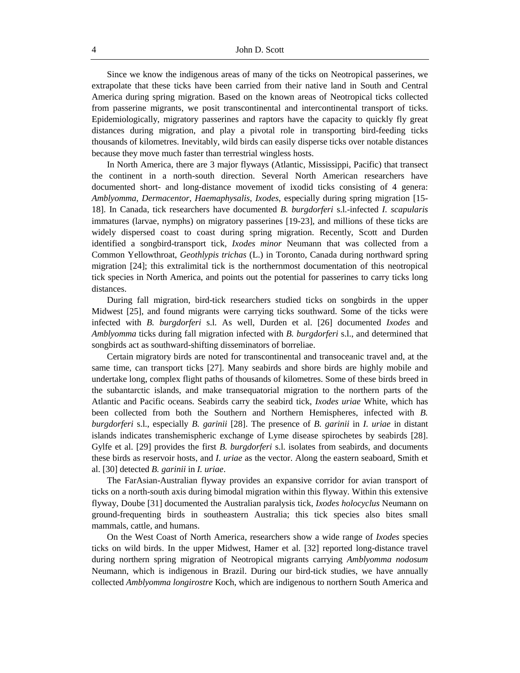Since we know the indigenous areas of many of the ticks on Neotropical passerines, we extrapolate that these ticks have been carried from their native land in South and Central America during spring migration. Based on the known areas of Neotropical ticks collected from passerine migrants, we posit transcontinental and intercontinental transport of ticks. Epidemiologically, migratory passerines and raptors have the capacity to quickly fly great distances during migration, and play a pivotal role in transporting bird-feeding ticks thousands of kilometres. Inevitably, wild birds can easily disperse ticks over notable distances because they move much faster than terrestrial wingless hosts.

In North America, there are 3 major flyways (Atlantic, Mississippi, Pacific) that transect the continent in a north-south direction. Several North American researchers have documented short- and long-distance movement of ixodid ticks consisting of 4 genera: *Amblyomma*, *Dermacentor*, *Haemaphysalis*, *Ixodes*, especially during spring migration [15- 18]. In Canada, tick researchers have documented *B. burgdorferi* s.l.-infected *I. scapularis* immatures (larvae, nymphs) on migratory passerines [19-23], and millions of these ticks are widely dispersed coast to coast during spring migration. Recently, Scott and Durden identified a songbird-transport tick, *Ixodes minor* Neumann that was collected from a Common Yellowthroat, *Geothlypis trichas* (L.) in Toronto, Canada during northward spring migration [24]; this extralimital tick is the northernmost documentation of this neotropical tick species in North America, and points out the potential for passerines to carry ticks long distances.

During fall migration, bird-tick researchers studied ticks on songbirds in the upper Midwest [25], and found migrants were carrying ticks southward. Some of the ticks were infected with *B. burgdorferi* s.l. As well, Durden et al. [26] documented *Ixodes* and *Amblyomma* ticks during fall migration infected with *B. burgdorferi* s.l., and determined that songbirds act as southward-shifting disseminators of borreliae.

Certain migratory birds are noted for transcontinental and transoceanic travel and, at the same time, can transport ticks [27]. Many seabirds and shore birds are highly mobile and undertake long, complex flight paths of thousands of kilometres. Some of these birds breed in the subantarctic islands, and make transequatorial migration to the northern parts of the Atlantic and Pacific oceans. Seabirds carry the seabird tick, *Ixodes uriae* White, which has been collected from both the Southern and Northern Hemispheres, infected with *B. burgdorferi* s.l., especially *B. garinii* [28]. The presence of *B. garinii* in *I. uriae* in distant islands indicates transhemispheric exchange of Lyme disease spirochetes by seabirds [28]. Gylfe et al. [29] provides the first *B. burgdorferi* s.l. isolates from seabirds, and documents these birds as reservoir hosts, and *I. uriae* as the vector. Along the eastern seaboard, Smith et al. [30] detected *B. garinii* in *I. uriae*.

The FarAsian-Australian flyway provides an expansive corridor for avian transport of ticks on a north-south axis during bimodal migration within this flyway. Within this extensive flyway, Doube [31] documented the Australian paralysis tick, *Ixodes holocyclus* Neumann on ground-frequenting birds in southeastern Australia; this tick species also bites small mammals, cattle, and humans.

On the West Coast of North America, researchers show a wide range of *Ixodes* species ticks on wild birds. In the upper Midwest, Hamer et al. [32] reported long-distance travel during northern spring migration of Neotropical migrants carrying *Amblyomma nodosum* Neumann, which is indigenous in Brazil. During our bird-tick studies, we have annually collected *Amblyomma longirostre* Koch, which are indigenous to northern South America and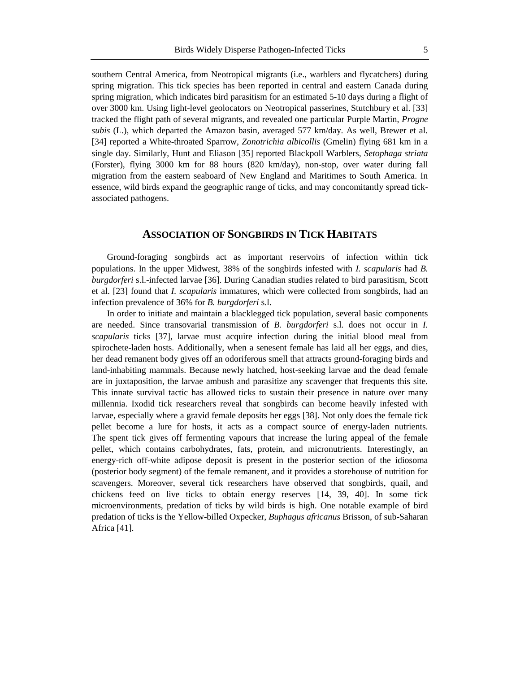southern Central America, from Neotropical migrants (i.e., warblers and flycatchers) during spring migration. This tick species has been reported in central and eastern Canada during spring migration, which indicates bird parasitism for an estimated 5-10 days during a flight of over 3000 km. Using light-level geolocators on Neotropical passerines, Stutchbury et al. [33] tracked the flight path of several migrants, and revealed one particular Purple Martin, *Progne subis* (L.), which departed the Amazon basin, averaged 577 km/day. As well, Brewer et al. [34] reported a White-throated Sparrow, *Zonotrichia albicollis* (Gmelin) flying 681 km in a single day. Similarly, Hunt and Eliason [35] reported Blackpoll Warblers, *Setophaga striata* (Forster), flying 3000 km for 88 hours (820 km/day), non-stop, over water during fall migration from the eastern seaboard of New England and Maritimes to South America. In essence, wild birds expand the geographic range of ticks, and may concomitantly spread tickassociated pathogens.

#### **ASSOCIATION OF SONGBIRDS IN TICK HABITATS**

Ground-foraging songbirds act as important reservoirs of infection within tick populations. In the upper Midwest, 38% of the songbirds infested with *I. scapularis* had *B. burgdorferi* s.l.-infected larvae [36]. During Canadian studies related to bird parasitism, Scott et al. [23] found that *I. scapularis* immatures, which were collected from songbirds, had an infection prevalence of 36% for *B. burgdorferi* s.l.

In order to initiate and maintain a blacklegged tick population, several basic components are needed. Since transovarial transmission of *B. burgdorferi* s.l. does not occur in *I. scapularis* ticks [37], larvae must acquire infection during the initial blood meal from spirochete-laden hosts. Additionally, when a senesent female has laid all her eggs, and dies, her dead remanent body gives off an odoriferous smell that attracts ground-foraging birds and land-inhabiting mammals. Because newly hatched, host-seeking larvae and the dead female are in juxtaposition, the larvae ambush and parasitize any scavenger that frequents this site. This innate survival tactic has allowed ticks to sustain their presence in nature over many millennia. Ixodid tick researchers reveal that songbirds can become heavily infested with larvae, especially where a gravid female deposits her eggs [38]. Not only does the female tick pellet become a lure for hosts, it acts as a compact source of energy-laden nutrients. The spent tick gives off fermenting vapours that increase the luring appeal of the female pellet, which contains carbohydrates, fats, protein, and micronutrients. Interestingly, an energy-rich off-white adipose deposit is present in the posterior section of the idiosoma (posterior body segment) of the female remanent, and it provides a storehouse of nutrition for scavengers. Moreover, several tick researchers have observed that songbirds, quail, and chickens feed on live ticks to obtain energy reserves [14, 39, 40]. In some tick microenvironments, predation of ticks by wild birds is high. One notable example of bird predation of ticks is the Yellow-billed Oxpecker, *Buphagus africanus* Brisson, of sub-Saharan Africa [41].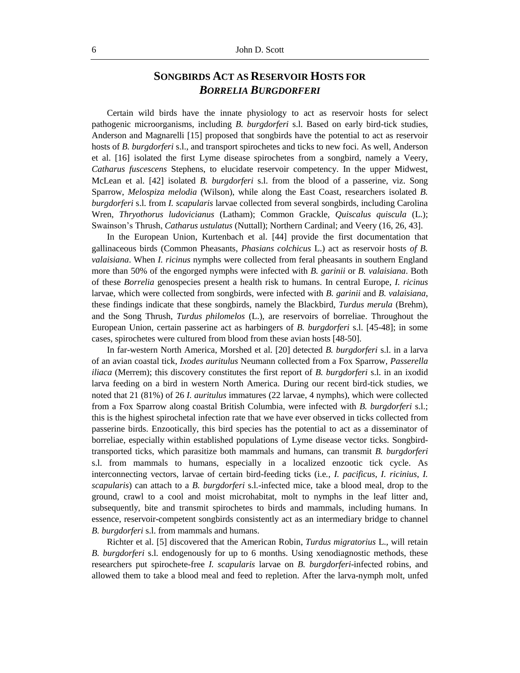## **SONGBIRDS ACT AS RESERVOIR HOSTS FOR**  *BORRELIA BURGDORFERI*

Certain wild birds have the innate physiology to act as reservoir hosts for select pathogenic microorganisms, including *B. burgdorferi* s.l. Based on early bird-tick studies, Anderson and Magnarelli [15] proposed that songbirds have the potential to act as reservoir hosts of *B. burgdorferi* s.l., and transport spirochetes and ticks to new foci. As well, Anderson et al. [16] isolated the first Lyme disease spirochetes from a songbird, namely a Veery, *Catharus fuscescens* Stephens, to elucidate reservoir competency. In the upper Midwest, McLean et al. [42] isolated *B. burgdorferi* s.l. from the blood of a passerine, viz. Song Sparrow, *Melospiza melodia* (Wilson), while along the East Coast, researchers isolated *B. burgdorferi* s.l. from *I. scapularis* larvae collected from several songbirds, including Carolina Wren, *Thryothorus ludovicianus* (Latham); Common Grackle, *Quiscalus quiscula* (L.); Swainson's Thrush, *Catharus ustulatus* (Nuttall); Northern Cardinal; and Veery (16, 26, 43].

In the European Union, Kurtenbach et al. [44] provide the first documentation that gallinaceous birds (Common Pheasants, *Phasians colchicus* L.) act as reservoir hosts *of B. valaisiana*. When *I. ricinus* nymphs were collected from feral pheasants in southern England more than 50% of the engorged nymphs were infected with *B. garinii* or *B. valaisiana*. Both of these *Borrelia* genospecies present a health risk to humans. In central Europe, *I. ricinus* larvae, which were collected from songbirds, were infected with *B. garinii* and *B. valaisiana*, these findings indicate that these songbirds, namely the Blackbird, *Turdus merula* (Brehm), and the Song Thrush, *Turdus philomelos* (L.), are reservoirs of borreliae. Throughout the European Union, certain passerine act as harbingers of *B. burgdorferi* s.l. [45-48]; in some cases, spirochetes were cultured from blood from these avian hosts [48-50].

In far-western North America, Morshed et al. [20] detected *B. burgdorferi* s.l. in a larva of an avian coastal tick, *Ixodes auritulus* Neumann collected from a Fox Sparrow, *Passerella iliaca* (Merrem); this discovery constitutes the first report of *B. burgdorferi* s.l. in an ixodid larva feeding on a bird in western North America. During our recent bird-tick studies, we noted that 21 (81%) of 26 *I. auritulus* immatures (22 larvae, 4 nymphs), which were collected from a Fox Sparrow along coastal British Columbia, were infected with *B. burgdorferi* s.l.; this is the highest spirochetal infection rate that we have ever observed in ticks collected from passerine birds. Enzootically, this bird species has the potential to act as a disseminator of borreliae, especially within established populations of Lyme disease vector ticks. Songbirdtransported ticks, which parasitize both mammals and humans, can transmit *B. burgdorferi* s.l. from mammals to humans, especially in a localized enzootic tick cycle. As interconnecting vectors, larvae of certain bird-feeding ticks (i.e*., I. pacificus*, *I. ricinius*, *I. scapularis*) can attach to a *B. burgdorferi* s.l.-infected mice, take a blood meal, drop to the ground, crawl to a cool and moist microhabitat, molt to nymphs in the leaf litter and, subsequently, bite and transmit spirochetes to birds and mammals, including humans. In essence, reservoir-competent songbirds consistently act as an intermediary bridge to channel *B. burgdorferi* s.l. from mammals and humans.

Richter et al. [5] discovered that the American Robin, *Turdus migratorius* L., will retain *B. burgdorferi* s.l. endogenously for up to 6 months. Using xenodiagnostic methods, these researchers put spirochete-free *I. scapularis* larvae on *B. burgdorferi*-infected robins, and allowed them to take a blood meal and feed to repletion. After the larva-nymph molt, unfed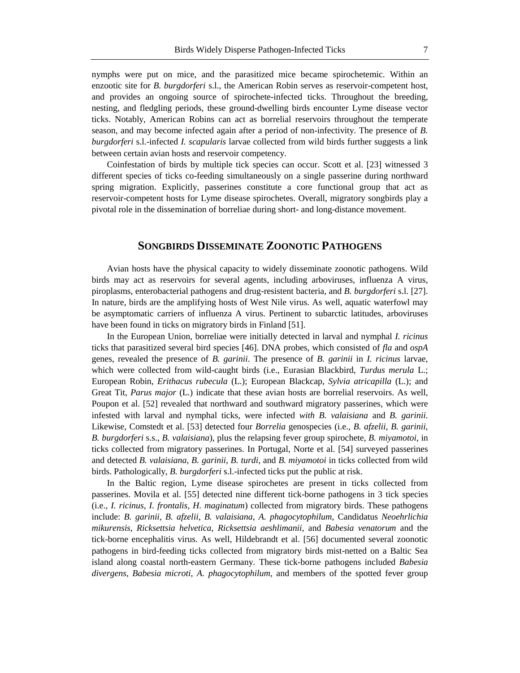nymphs were put on mice, and the parasitized mice became spirochetemic. Within an enzootic site for *B. burgdorferi* s.l., the American Robin serves as reservoir-competent host, and provides an ongoing source of spirochete-infected ticks. Throughout the breeding, nesting, and fledgling periods, these ground-dwelling birds encounter Lyme disease vector ticks. Notably, American Robins can act as borrelial reservoirs throughout the temperate season, and may become infected again after a period of non-infectivity. The presence of *B. burgdorferi* s.l.-infected *I. scapularis* larvae collected from wild birds further suggests a link between certain avian hosts and reservoir competency.

Coinfestation of birds by multiple tick species can occur. Scott et al. [23] witnessed 3 different species of ticks co-feeding simultaneously on a single passerine during northward spring migration. Explicitly, passerines constitute a core functional group that act as reservoir-competent hosts for Lyme disease spirochetes. Overall, migratory songbirds play a pivotal role in the dissemination of borreliae during short- and long-distance movement.

#### **SONGBIRDS DISSEMINATE ZOONOTIC PATHOGENS**

Avian hosts have the physical capacity to widely disseminate zoonotic pathogens. Wild birds may act as reservoirs for several agents, including arboviruses, influenza A virus, piroplasms, enterobacterial pathogens and drug-resistent bacteria, and *B. burgdorferi* s.l. [27]. In nature, birds are the amplifying hosts of West Nile virus. As well, aquatic waterfowl may be asymptomatic carriers of influenza A virus. Pertinent to subarctic latitudes, arboviruses have been found in ticks on migratory birds in Finland [51].

In the European Union, borreliae were initially detected in larval and nymphal *I. ricinus* ticks that parasitized several bird species [46]. DNA probes, which consisted of *fla* and *ospA* genes, revealed the presence of *B. garinii*. The presence of *B. garinii* in *I. ricinus* larvae, which were collected from wild-caught birds (i.e., Eurasian Blackbird, *Turdus merula* L.; European Robin, *Erithacus rubecula* (L.); European Blackcap, *Sylvia atricapilla* (L.); and Great Tit, *Parus major* (L.) indicate that these avian hosts are borrelial reservoirs. As well, Poupon et al. [52] revealed that northward and southward migratory passerines, which were infested with larval and nymphal ticks, were infected *with B. valaisiana* and *B. garinii*. Likewise, Comstedt et al. [53] detected four *Borrelia* genospecies (i.e., *B. afzelii*, *B. garinii*, *B. burgdorferi* s.s., *B. valaisiana*), plus the relapsing fever group spirochete, *B. miyamotoi,* in ticks collected from migratory passerines. In Portugal, Norte et al. [54] surveyed passerines and detected *B. valaisiana*, *B. garinii*, *B. turdi*, and *B. miyamotoi* in ticks collected from wild birds. Pathologically, *B. burgdorferi* s.l.-infected ticks put the public at risk.

In the Baltic region, Lyme disease spirochetes are present in ticks collected from passerines. Movila et al. [55] detected nine different tick-borne pathogens in 3 tick species (i.e., *I. ricinus, I. frontalis*, *H. maginatum*) collected from migratory birds. These pathogens include: *B. garinii*, *B. afzelii*, *B. valaisiana*, *A. phagocytophilum*, Candidatus *Neoehrlichia mikurensis*, *Ricksettsia helvetica*, *Ricksettsia aeshlimanii*, and *Babesia venatorum* and the tick-borne encephalitis virus. As well, Hildebrandt et al. [56] documented several zoonotic pathogens in bird-feeding ticks collected from migratory birds mist-netted on a Baltic Sea island along coastal north-eastern Germany. These tick-borne pathogens included *Babesia divergens*, *Babesia microti*, *A. phagocytophilum*, and members of the spotted fever group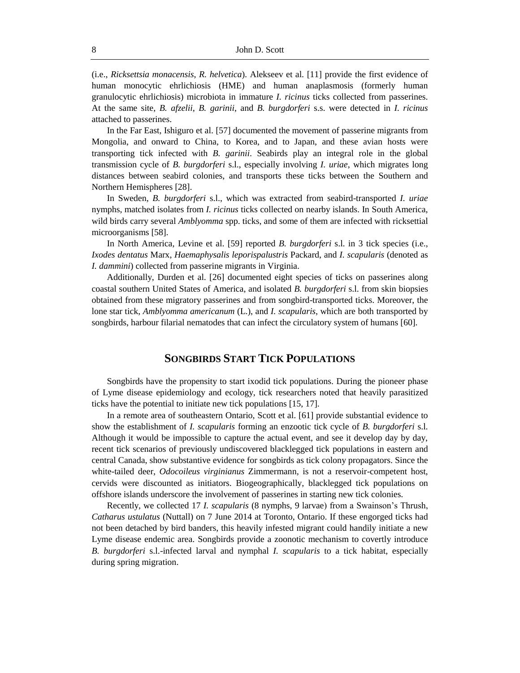(i.e., *Ricksettsia monacensis*, *R. helvetica*). Alekseev et al. [11] provide the first evidence of human monocytic ehrlichiosis (HME) and human anaplasmosis (formerly human granulocytic ehrlichiosis) microbiota in immature *I. ricinus* ticks collected from passerines. At the same site, *B. afzelii*, *B. garinii*, and *B. burgdorferi* s.s. were detected in *I. ricinus* attached to passerines.

In the Far East, Ishiguro et al. [57] documented the movement of passerine migrants from Mongolia, and onward to China, to Korea, and to Japan, and these avian hosts were transporting tick infected with *B. garinii*. Seabirds play an integral role in the global transmission cycle of *B. burgdorferi* s.l., especially involving *I. uriae*, which migrates long distances between seabird colonies, and transports these ticks between the Southern and Northern Hemispheres [28].

In Sweden, *B. burgdorferi* s.l., which was extracted from seabird-transported *I. uriae*  nymphs, matched isolates from *I. ricinus* ticks collected on nearby islands. In South America, wild birds carry several *Amblyomma* spp. ticks, and some of them are infected with ricksettial microorganisms [58].

In North America, Levine et al. [59] reported *B. burgdorferi* s.l. in 3 tick species (i.e., *Ixodes dentatus* Marx, *Haemaphysalis leporispalustris* Packard, and *I. scapularis* (denoted as *I. dammini*) collected from passerine migrants in Virginia.

Additionally, Durden et al. [26] documented eight species of ticks on passerines along coastal southern United States of America, and isolated *B. burgdorferi* s.l. from skin biopsies obtained from these migratory passerines and from songbird-transported ticks. Moreover, the lone star tick, *Amblyomma americanum* (L.), and *I. scapularis*, which are both transported by songbirds, harbour filarial nematodes that can infect the circulatory system of humans [60].

#### **SONGBIRDS START TICK POPULATIONS**

Songbirds have the propensity to start ixodid tick populations. During the pioneer phase of Lyme disease epidemiology and ecology, tick researchers noted that heavily parasitized ticks have the potential to initiate new tick populations [15, 17].

In a remote area of southeastern Ontario, Scott et al. [61] provide substantial evidence to show the establishment of *I. scapularis* forming an enzootic tick cycle of *B. burgdorferi* s.l. Although it would be impossible to capture the actual event, and see it develop day by day, recent tick scenarios of previously undiscovered blacklegged tick populations in eastern and central Canada, show substantive evidence for songbirds as tick colony propagators. Since the white-tailed deer, *Odocoileus virginianus* Zimmermann*,* is not a reservoir-competent host, cervids were discounted as initiators. Biogeographically, blacklegged tick populations on offshore islands underscore the involvement of passerines in starting new tick colonies.

Recently, we collected 17 *I. scapularis* (8 nymphs, 9 larvae) from a Swainson's Thrush, *Catharus ustulatus* (Nuttall) on 7 June 2014 at Toronto, Ontario. If these engorged ticks had not been detached by bird banders, this heavily infested migrant could handily initiate a new Lyme disease endemic area. Songbirds provide a zoonotic mechanism to covertly introduce *B. burgdorferi* s.l.-infected larval and nymphal *I. scapularis* to a tick habitat, especially during spring migration.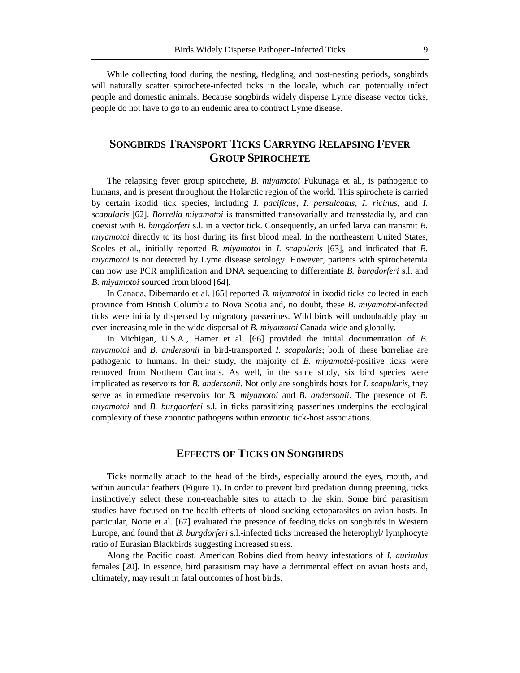While collecting food during the nesting, fledgling, and post-nesting periods, songbirds will naturally scatter spirochete-infected ticks in the locale, which can potentially infect people and domestic animals. Because songbirds widely disperse Lyme disease vector ticks, people do not have to go to an endemic area to contract Lyme disease.

## **SONGBIRDS TRANSPORT TICKS CARRYING RELAPSING FEVER GROUP SPIROCHETE**

The relapsing fever group spirochete, *B. miyamotoi* Fukunaga et al., is pathogenic to humans, and is present throughout the Holarctic region of the world. This spirochete is carried by certain ixodid tick species, including *I. pacificus*, *I. persulcatus*, *I. ricinus*, and *I. scapularis* [62]. *Borrelia miyamotoi* is transmitted transovarially and transstadially, and can coexist with *B. burgdorferi* s.l. in a vector tick. Consequently, an unfed larva can transmit *B. miyamotoi* directly to its host during its first blood meal. In the northeastern United States, Scoles et al., initially reported *B. miyamotoi* in *I. scapularis* [63], and indicated that *B. miyamotoi* is not detected by Lyme disease serology. However, patients with spirochetemia can now use PCR amplification and DNA sequencing to differentiate *B. burgdorferi* s.l. and *B. miyamotoi* sourced from blood [64].

In Canada, Dibernardo et al. [65] reported *B. miyamotoi* in ixodid ticks collected in each province from British Columbia to Nova Scotia and, no doubt, these *B. miyamotoi*-infected ticks were initially dispersed by migratory passerines. Wild birds will undoubtably play an ever-increasing role in the wide dispersal of *B. miyamotoi* Canada-wide and globally.

In Michigan, U.S.A., Hamer et al. [66] provided the initial documentation of *B. miyamotoi* and *B. andersonii* in bird-transported *I. scapularis*; both of these borreliae are pathogenic to humans. In their study, the majority of *B. miyamotoi*-positive ticks were removed from Northern Cardinals. As well, in the same study, six bird species were implicated as reservoirs for *B. andersonii*. Not only are songbirds hosts for *I. scapularis*, they serve as intermediate reservoirs for *B. miyamotoi* and *B. andersonii*. The presence of *B. miyamotoi* and *B. burgdorferi* s.l. in ticks parasitizing passerines underpins the ecological complexity of these zoonotic pathogens within enzootic tick-host associations.

#### **EFFECTS OF TICKS ON SONGBIRDS**

Ticks normally attach to the head of the birds, especially around the eyes, mouth, and within auricular feathers (Figure 1). In order to prevent bird predation during preening, ticks instinctively select these non-reachable sites to attach to the skin. Some bird parasitism studies have focused on the health effects of blood-sucking ectoparasites on avian hosts. In particular, Norte et al. [67] evaluated the presence of feeding ticks on songbirds in Western Europe, and found that *B. burgdorferi* s.l.-infected ticks increased the heterophyl/ lymphocyte ratio of Eurasian Blackbirds suggesting increased stress.

Along the Pacific coast, American Robins died from heavy infestations of *I. auritulus*  females [20]. In essence, bird parasitism may have a detrimental effect on avian hosts and, ultimately, may result in fatal outcomes of host birds.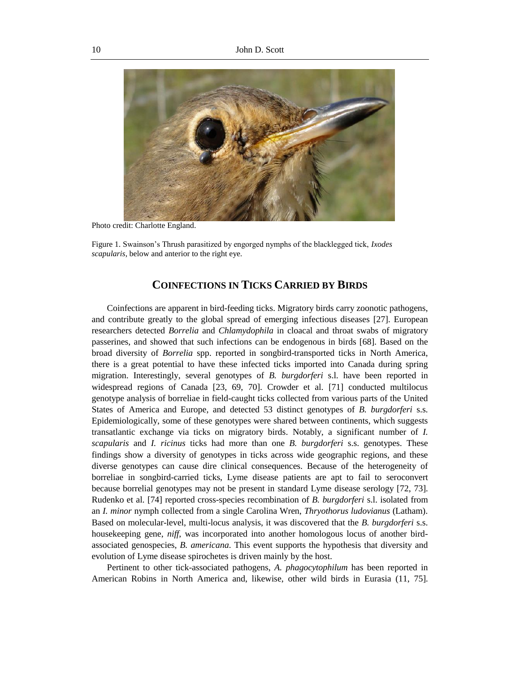

Photo credit: Charlotte England.

Figure 1. Swainson's Thrush parasitized by engorged nymphs of the blacklegged tick, *Ixodes scapularis*, below and anterior to the right eye.

#### **COINFECTIONS IN TICKS CARRIED BY BIRDS**

Coinfections are apparent in bird-feeding ticks. Migratory birds carry zoonotic pathogens, and contribute greatly to the global spread of emerging infectious diseases [27]. European researchers detected *Borrelia* and *Chlamydophila* in cloacal and throat swabs of migratory passerines, and showed that such infections can be endogenous in birds [68]. Based on the broad diversity of *Borrelia* spp. reported in songbird-transported ticks in North America, there is a great potential to have these infected ticks imported into Canada during spring migration. Interestingly, several genotypes of *B. burgdorferi* s.l. have been reported in widespread regions of Canada [23, 69, 70]. Crowder et al. [71] conducted multilocus genotype analysis of borreliae in field-caught ticks collected from various parts of the United States of America and Europe, and detected 53 distinct genotypes of *B. burgdorferi* s.s. Epidemiologically, some of these genotypes were shared between continents, which suggests transatlantic exchange via ticks on migratory birds. Notably, a significant number of *I. scapularis* and *I. ricinus* ticks had more than one *B. burgdorferi* s.s. genotypes. These findings show a diversity of genotypes in ticks across wide geographic regions, and these diverse genotypes can cause dire clinical consequences. Because of the heterogeneity of borreliae in songbird-carried ticks, Lyme disease patients are apt to fail to seroconvert because borrelial genotypes may not be present in standard Lyme disease serology [72, 73]. Rudenko et al. [74] reported cross-species recombination of *B. burgdorferi* s.l. isolated from an *I. minor* nymph collected from a single Carolina Wren, *Thryothorus ludovianus* (Latham). Based on molecular-level, multi-locus analysis, it was discovered that the *B. burgdorferi* s.s. housekeeping gene, *niff*, was incorporated into another homologous locus of another birdassociated genospecies, *B. americana*. This event supports the hypothesis that diversity and evolution of Lyme disease spirochetes is driven mainly by the host.

Pertinent to other tick-associated pathogens, *A. phagocytophilum* has been reported in American Robins in North America and, likewise, other wild birds in Eurasia (11, 75].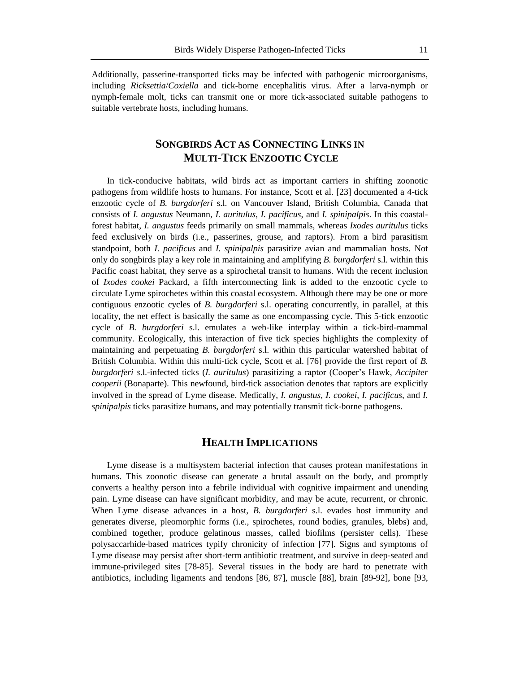Additionally, passerine-transported ticks may be infected with pathogenic microorganisms, including *Ricksettia*/*Coxiella* and tick-borne encephalitis virus. After a larva-nymph or nymph-female molt, ticks can transmit one or more tick-associated suitable pathogens to suitable vertebrate hosts, including humans.

## **SONGBIRDS ACT AS CONNECTING LINKS IN MULTI-TICK ENZOOTIC CYCLE**

In tick-conducive habitats, wild birds act as important carriers in shifting zoonotic pathogens from wildlife hosts to humans. For instance, Scott et al. [23] documented a 4-tick enzootic cycle of *B. burgdorferi* s.l. on Vancouver Island, British Columbia, Canada that consists of *I. angustus* Neumann, *I. auritulus*, *I. pacificus*, and *I. spinipalpis*. In this coastalforest habitat, *I. angustus* feeds primarily on small mammals, whereas *Ixodes auritulus* ticks feed exclusively on birds (i.e., passerines, grouse, and raptors). From a bird parasitism standpoint, both *I. pacificus* and *I. spinipalpis* parasitize avian and mammalian hosts. Not only do songbirds play a key role in maintaining and amplifying *B. burgdorferi* s.l. within this Pacific coast habitat, they serve as a spirochetal transit to humans. With the recent inclusion of *Ixodes cookei* Packard, a fifth interconnecting link is added to the enzootic cycle to circulate Lyme spirochetes within this coastal ecosystem. Although there may be one or more contiguous enzootic cycles of *B. burgdorferi* s.l. operating concurrently, in parallel, at this locality, the net effect is basically the same as one encompassing cycle. This 5-tick enzootic cycle of *B. burgdorferi* s.l. emulates a web-like interplay within a tick-bird-mammal community. Ecologically, this interaction of five tick species highlights the complexity of maintaining and perpetuating *B. burgdorferi* s.l. within this particular watershed habitat of British Columbia. Within this multi-tick cycle, Scott et al. [76] provide the first report of *B. burgdorferi s*.l.-infected ticks (*I. auritulus*) parasitizing a raptor (Cooper's Hawk, *Accipiter cooperii* (Bonaparte). This newfound, bird-tick association denotes that raptors are explicitly involved in the spread of Lyme disease. Medically, *I. angustus*, *I. cookei*, *I. pacificus*, and *I. spinipalpis* ticks parasitize humans, and may potentially transmit tick-borne pathogens.

#### **HEALTH IMPLICATIONS**

Lyme disease is a multisystem bacterial infection that causes protean manifestations in humans. This zoonotic disease can generate a brutal assault on the body, and promptly converts a healthy person into a febrile individual with cognitive impairment and unending pain. Lyme disease can have significant morbidity, and may be acute, recurrent, or chronic. When Lyme disease advances in a host, *B. burgdorferi* s.l. evades host immunity and generates diverse, pleomorphic forms (i.e., spirochetes, round bodies, granules, blebs) and, combined together, produce gelatinous masses, called biofilms (persister cells). These polysaccarhide-based matrices typify chronicity of infection [77]. Signs and symptoms of Lyme disease may persist after short-term antibiotic treatment, and survive in deep-seated and immune-privileged sites [78-85]. Several tissues in the body are hard to penetrate with antibiotics, including ligaments and tendons [86, 87], muscle [88], brain [89-92], bone [93,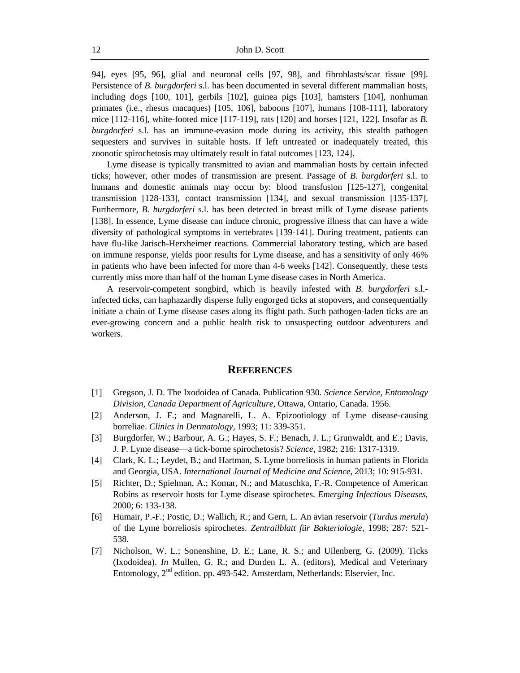94], eyes [95, 96], glial and neuronal cells [97, 98], and fibroblasts/scar tissue [99]. Persistence of *B. burgdorferi* s.l. has been documented in several different mammalian hosts, including dogs [100, 101], gerbils [102], guinea pigs [103], hamsters [104], nonhuman primates (i.e., rhesus macaques) [105, 106], baboons [107], humans [108-111], laboratory mice [112-116], white-footed mice [117-119], rats [120] and horses [121, 122]. Insofar as *B. burgdorferi* s.l. has an immune-evasion mode during its activity, this stealth pathogen sequesters and survives in suitable hosts. If left untreated or inadequately treated, this zoonotic spirochetosis may ultimately result in fatal outcomes [123, 124].

Lyme disease is typically transmitted to avian and mammalian hosts by certain infected ticks; however, other modes of transmission are present. Passage of *B. burgdorferi* s.l. to humans and domestic animals may occur by: blood transfusion [125-127], congenital transmission [128-133], contact transmission [134], and sexual transmission [135-137]. Furthermore, *B. burgdorferi* s.l. has been detected in breast milk of Lyme disease patients [138]. In essence, Lyme disease can induce chronic, progressive illness that can have a wide diversity of pathological symptoms in vertebrates [139-141]. During treatment, patients can have flu-like Jarisch-Herxheimer reactions. Commercial laboratory testing, which are based on immune response, yields poor results for Lyme disease, and has a sensitivity of only 46% in patients who have been infected for more than 4-6 weeks [142]. Consequently, these tests currently miss more than half of the human Lyme disease cases in North America.

A reservoir-competent songbird, which is heavily infested with *B. burgdorferi* s.l. infected ticks, can haphazardly disperse fully engorged ticks at stopovers, and consequentially initiate a chain of Lyme disease cases along its flight path. Such pathogen-laden ticks are an ever-growing concern and a public health risk to unsuspecting outdoor adventurers and workers.

#### **REFERENCES**

- [1] Gregson, J. D. The Ixodoidea of Canada. Publication 930. *Science Service, Entomology Division, Canada Department of Agriculture,* Ottawa, Ontario, Canada. 1956.
- [2] Anderson, J. F.; and Magnarelli, L. A. Epizootiology of Lyme disease-causing borreliae. *Clinics in Dermatology*, 1993; 11: 339-351.
- [3] Burgdorfer, W.; Barbour, A. G.; Hayes, S. F.; Benach, J. L.; Grunwaldt, and E.; Davis, J. P. Lyme disease—a tick-borne spirochetosis? *Science,* 1982; 216: 1317-1319.
- [4] Clark, K. L.; Leydet, B.; and Hartman, S. Lyme borreliosis in human patients in Florida and Georgia, USA. *International Journal of Medicine and Science*, 2013; 10: 915-931.
- [5] Richter, D.; Spielman, A.; Komar, N.; and Matuschka, F.-R. Competence of American Robins as reservoir hosts for Lyme disease spirochetes. *Emerging Infectious Diseases*, 2000; 6: 133-138.
- [6] Humair, P.-F.; Postic, D.; Wallich, R.; and Gern, L. An avian reservoir (*Turdus merula*) of the Lyme borreliosis spirochetes. *Zentrailblatt für Bakteriologie,* 1998; 287: 521- 538.
- [7] Nicholson, W. L.; Sonenshine, D. E.; Lane, R. S.; and Uilenberg, G. (2009). Ticks (Ixodoidea). *In* Mullen, G. R.; and Durden L. A. (editors), Medical and Veterinary Entomology, 2<sup>nd</sup> edition. pp. 493-542. Amsterdam, Netherlands: Elservier, Inc.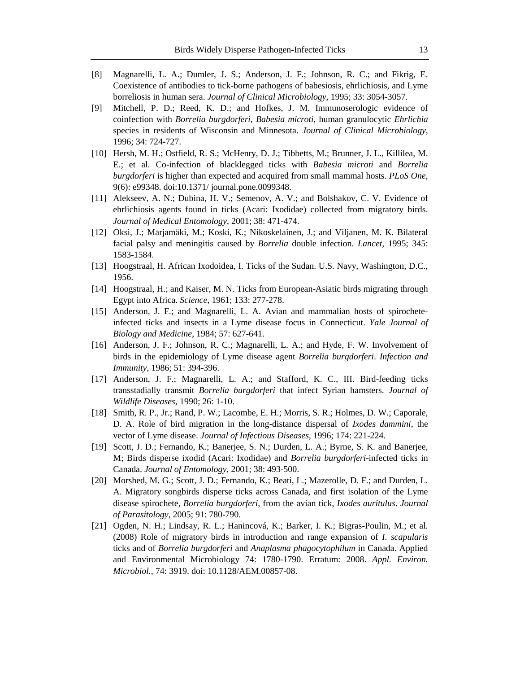- [8] Magnarelli, L. A.; Dumler, J. S.; Anderson, J. F.; Johnson, R. C.; and Fikrig, E. Coexistence of antibodies to tick-borne pathogens of babesiosis, ehrlichiosis, and Lyme borreliosis in human sera. *Journal of Clinical Microbiology,* 1995; 33: 3054-3057.
- [9] Mitchell, P. D.; Reed, K. D.; and Hofkes, J. M. Immunoserologic evidence of coinfection with *Borrelia burgdorferi*, *Babesia microti*, human granulocytic *Ehrlichia* species in residents of Wisconsin and Minnesota. *Journal of Clinical Microbiology*, 1996; 34: 724-727.
- [10] Hersh, M. H.; Ostfield, R. S.; McHenry, D. J.; Tibbetts, M.; Brunner, J. L., Killilea, M. E.; et al. Co-infection of blacklegged ticks with *Babesia microti* and *Borrelia burgdorferi* is higher than expected and acquired from small mammal hosts. *PLoS One*, 9(6): e99348. doi:10.1371/ journal.pone.0099348.
- [11] Alekseev, A. N.; Dubina, H. V.; Semenov, A. V.; and Bolshakov, C. V. Evidence of ehrlichiosis agents found in ticks (Acari: Ixodidae) collected from migratory birds. *Journal of Medical Entomology*, 2001; 38: 471-474.
- [12] Oksi, J.; Marjamäki, M.; Koski, K.; Nikoskelainen, J.; and Viljanen, M. K. Bilateral facial palsy and meningitis caused by *Borrelia* double infection. *Lancet,* 1995; 345: 1583-1584.
- [13] Hoogstraal, H. African Ixodoidea, I. Ticks of the Sudan. U.S. Navy, Washington, D.C., 1956.
- [14] Hoogstraal, H.; and Kaiser, M. N. Ticks from European-Asiatic birds migrating through Egypt into Africa. *Science*, 1961; 133: 277-278.
- [15] Anderson, J. F.; and Magnarelli, L. A. Avian and mammalian hosts of spirocheteinfected ticks and insects in a Lyme disease focus in Connecticut. *Yale Journal of Biology and Medicine*, 1984; 57: 627-641.
- [16] Anderson, J. F.; Johnson, R. C.; Magnarelli, L. A.; and Hyde, F. W. Involvement of birds in the epidemiology of Lyme disease agent *Borrelia burgdorferi*. *Infection and Immunity*, 1986; 51: 394-396.
- [17] Anderson, J. F.; Magnarelli, L. A.; and Stafford, K. C., III. Bird-feeding ticks transstadially transmit *Borrelia burgdorferi* that infect Syrian hamsters. *Journal of Wildlife Diseases*, 1990; 26: 1-10.
- [18] Smith, R. P., Jr.; Rand, P. W.; Lacombe, E. H.; Morris, S. R.; Holmes, D. W.; Caporale, D. A. Role of bird migration in the long-distance dispersal of *Ixodes dammini*, the vector of Lyme disease. *Journal of Infectious Diseases,* 1996; 174: 221-224.
- [19] Scott, J. D.; Fernando, K.; Banerjee, S. N.; Durden, L. A.; Byrne, S. K. and Banerjee, M; Birds disperse ixodid (Acari: Ixodidae) and *Borrelia burgdorferi*-infected ticks in Canada. *Journal of Entomology*, 2001; 38: 493-500.
- [20] Morshed, M. G.; Scott, J. D.; Fernando, K.; Beati, L.; Mazerolle, D. F.; and Durden, L. A. Migratory songbirds disperse ticks across Canada, and first isolation of the Lyme disease spirochete, *Borrelia burgdorferi*, from the avian tick, *Ixodes auritulus*. *Journal of Parasitology*, 2005; 91: 780-790.
- [21] Ogden, N. H.; Lindsay, R. L.; Hanincová, K.; Barker, I. K.; Bigras-Poulin, M.; et al. (2008) Role of migratory birds in introduction and range expansion of *I. scapularis* ticks and of *Borrelia burgdorferi* and *Anaplasma phagocytophilum* in Canada. Applied and Environmental Microbiology 74: 1780-1790. Erratum: 2008. *Appl. Environ. Microbiol.,* 74: 3919. doi: 10.1128/AEM.00857-08.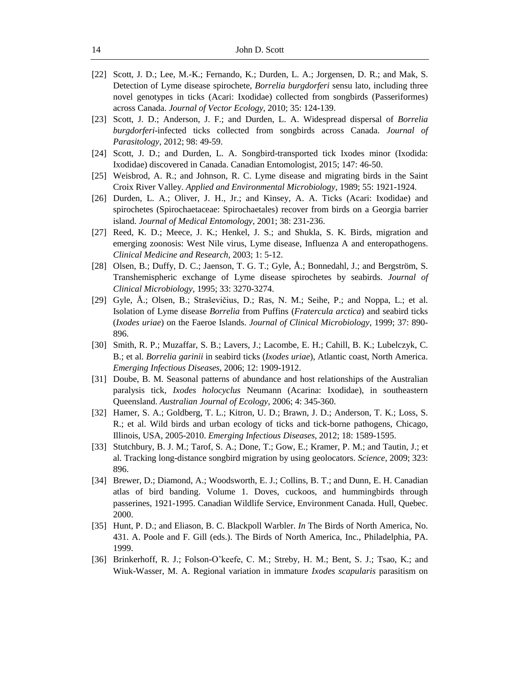- [22] Scott, J. D.; Lee, M.-K.; Fernando, K.; Durden, L. A.; Jorgensen, D. R.; and Mak, S. Detection of Lyme disease spirochete, *Borrelia burgdorferi* sensu lato, including three novel genotypes in ticks (Acari: Ixodidae) collected from songbirds (Passeriformes) across Canada. *Journal of Vector Ecology*, 2010; 35: 124-139.
- [23] Scott, J. D.; Anderson, J. F.; and Durden, L. A. Widespread dispersal of *Borrelia burgdorferi*-infected ticks collected from songbirds across Canada. *Journal of Parasitology*, 2012; 98: 49-59.
- [24] Scott, J. D.; and Durden, L. A. Songbird-transported tick Ixodes minor (Ixodida: Ixodidae) discovered in Canada. Canadian Entomologist, 2015; 147: 46-50.
- [25] Weisbrod, A. R.; and Johnson, R. C. Lyme disease and migrating birds in the Saint Croix River Valley. *Applied and Environmental Microbiology,* 1989; 55: 1921-1924.
- [26] Durden, L. A.; Oliver, J. H., Jr.; and Kinsey, A. A. Ticks (Acari: Ixodidae) and spirochetes (Spirochaetaceae: Spirochaetales) recover from birds on a Georgia barrier island. *Journal of Medical Entomology*, 2001; 38: 231-236.
- [27] Reed, K. D.; Meece, J. K.; Henkel, J. S.; and Shukla, S. K. Birds, migration and emerging zoonosis: West Nile virus, Lyme disease, Influenza A and enteropathogens. *Clinical Medicine and Research*, 2003; 1: 5-12.
- [28] Olsen, B.; Duffy, D. C.; Jaenson, T. G. T.; Gyle, Å.; Bonnedahl, J.; and Bergström, S. Transhemispheric exchange of Lyme disease spirochetes by seabirds. *Journal of Clinical Microbiology*, 1995; 33: 3270-3274.
- [29] Gyle, Å.; Olsen, B.; Straševičius, D.; Ras, N. M.; Seihe, P.; and Noppa, L.; et al. Isolation of Lyme disease *Borrelia* from Puffins (*Fratercula arctica*) and seabird ticks (*Ixodes uriae*) on the Faeroe Islands. *Journal of Clinical Microbiology,* 1999; 37: 890- 896.
- [30] Smith, R. P.; Muzaffar, S. B.; Lavers, J.; Lacombe, E. H.; Cahill, B. K.; Lubelczyk, C. B.; et al. *Borrelia garinii* in seabird ticks (*Ixodes uriae*), Atlantic coast, North America. *Emerging Infectious Diseases*, 2006; 12: 1909-1912.
- [31] Doube, B. M. Seasonal patterns of abundance and host relationships of the Australian paralysis tick, *Ixodes holocyclus* Neumann (Acarina: Ixodidae), in southeastern Queensland. *Australian Journal of Ecology,* 2006; 4: 345-360.
- [32] Hamer, S. A.; Goldberg, T. L.; Kitron, U. D.; Brawn, J. D.; Anderson, T. K.; Loss, S. R.; et al. Wild birds and urban ecology of ticks and tick-borne pathogens, Chicago, Illinois, USA, 2005-2010. *Emerging Infectious Diseases,* 2012; 18: 1589-1595.
- [33] Stutchbury, B. J. M.; Tarof, S. A.; Done, T.; Gow, E.; Kramer, P. M.; and Tautin, J.; et al. Tracking long-distance songbird migration by using geolocators. *Science*, 2009; 323: 896.
- [34] Brewer, D.; Diamond, A.; Woodsworth, E. J.; Collins, B. T.; and Dunn, E. H. Canadian atlas of bird banding. Volume 1. Doves, cuckoos, and hummingbirds through passerines, 1921-1995. Canadian Wildlife Service, Environment Canada. Hull, Quebec. 2000.
- [35] Hunt, P. D.; and Eliason, B. C. Blackpoll Warbler. *In* The Birds of North America, No. 431. A. Poole and F. Gill (eds.). The Birds of North America, Inc., Philadelphia, PA. 1999.
- [36] Brinkerhoff, R. J.; Folson-O'keefe, C. M.; Streby, H. M.; Bent, S. J.; Tsao, K.; and Wiuk-Wasser, M. A. Regional variation in immature *Ixodes scapularis* parasitism on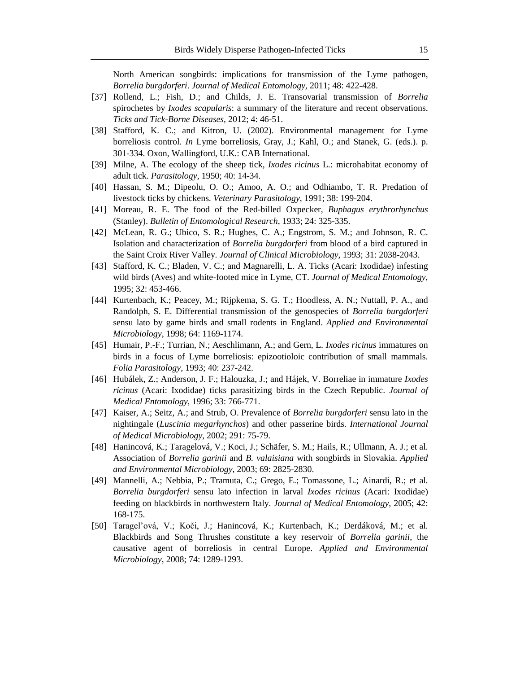North American songbirds: implications for transmission of the Lyme pathogen, *Borrelia burgdorferi*. *Journal of Medical Entomology,* 2011; 48: 422-428.

- [37] Rollend, L.; Fish, D.; and Childs, J. E. Transovarial transmission of *Borrelia* spirochetes by *Ixodes scapularis*: a summary of the literature and recent observations. *Ticks and Tick-Borne Diseases*, 2012; 4: 46-51.
- [38] Stafford, K. C.; and Kitron, U. (2002). Environmental management for Lyme borreliosis control. *In* Lyme borreliosis, Gray, J.; Kahl, O.; and Stanek, G. (eds.). p. 301-334. Oxon, Wallingford, U.K.: CAB International.
- [39] Milne, A. The ecology of the sheep tick, *Ixodes ricinus* L.: microhabitat economy of adult tick. *Parasitology*, 1950; 40: 14-34.
- [40] Hassan, S. M.; Dipeolu, O. O.; Amoo, A. O.; and Odhiambo, T. R. Predation of livestock ticks by chickens. *Veterinary Parasitology*, 1991; 38: 199-204.
- [41] Moreau, R. E. The food of the Red-billed Oxpecker, *Buphagus erythrorhynchus*  (Stanley). *Bulletin of Entomological Research*, 1933; 24: 325-335.
- [42] McLean, R. G.; Ubico, S. R.; Hughes, C. A.; Engstrom, S. M.; and Johnson, R. C. Isolation and characterization of *Borrelia burgdorferi* from blood of a bird captured in the Saint Croix River Valley. *Journal of Clinical Microbiology*, 1993; 31: 2038-2043.
- [43] Stafford, K. C.; Bladen, V. C.; and Magnarelli, L. A. Ticks (Acari: Ixodidae) infesting wild birds (Aves) and white-footed mice in Lyme, CT. *Journal of Medical Entomology*, 1995; 32: 453-466.
- [44] Kurtenbach, K.; Peacey, M.; Rijpkema, S. G. T.; Hoodless, A. N.; Nuttall, P. A., and Randolph, S. E. Differential transmission of the genospecies of *Borrelia burgdorferi* sensu lato by game birds and small rodents in England. *Applied and Environmental Microbiology*, 1998; 64: 1169-1174.
- [45] Humair, P.-F.; Turrian, N.; Aeschlimann, A.; and Gern, L. *Ixodes ricinus* immatures on birds in a focus of Lyme borreliosis: epizootioloic contribution of small mammals. *Folia Parasitology*, 1993; 40: 237-242.
- [46] Hubálek, Z.; Anderson, J. F.; Halouzka, J.; and Hájek, V. Borreliae in immature *Ixodes ricinus* (Acari: Ixodidae) ticks parasitizing birds in the Czech Republic. *Journal of Medical Entomology*, 1996; 33: 766-771.
- [47] Kaiser, A.; Seitz, A.; and Strub, O. Prevalence of *Borrelia burgdorferi* sensu lato in the nightingale (*Luscinia megarhynchos*) and other passerine birds. *International Journal of Medical Microbiology*, 2002; 291: 75-79.
- [48] Hanincová, K.; Taragelová, V.; Koci, J.; Schäfer, S. M.; Hails, R.; Ullmann, A. J.; et al. Association of *Borrelia garinii* and *B. valaisiana* with songbirds in Slovakia. *Applied and Environmental Microbiology,* 2003; 69: 2825-2830.
- [49] Mannelli, A.; Nebbia, P.; Tramuta, C.; Grego, E.; Tomassone, L.; Ainardi, R.; et al. *Borrelia burgdorferi* sensu lato infection in larval *Ixodes ricinus* (Acari: Ixodidae) feeding on blackbirds in northwestern Italy. *Journal of Medical Entomology*, 2005; 42: 168-175.
- [50] Taragel'ová, V.; Koči, J.; Hanincová, K.; Kurtenbach, K.; Derdáková, M.; et al. Blackbirds and Song Thrushes constitute a key reservoir of *Borrelia garinii*, the causative agent of borreliosis in central Europe. *Applied and Environmental Microbiology*, 2008; 74: 1289-1293.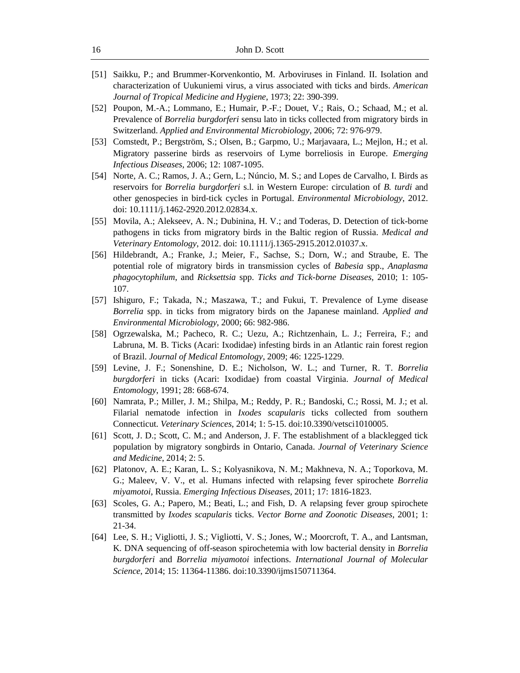- [51] Saikku, P.; and Brummer-Korvenkontio, M. Arboviruses in Finland. II. Isolation and characterization of Uukuniemi virus, a virus associated with ticks and birds. *American Journal of Tropical Medicine and Hygiene*, 1973; 22: 390-399.
- [52] Poupon, M.-A.; Lommano, E.; Humair, P.-F.; Douet, V.; Rais, O.; Schaad, M.; et al. Prevalence of *Borrelia burgdorferi* sensu lato in ticks collected from migratory birds in Switzerland. *Applied and Environmental Microbiology,* 2006; 72: 976-979.
- [53] Comstedt, P.; Bergström, S.; Olsen, B.; Garpmo, U.; Marjavaara, L.; Mejlon, H.; et al. Migratory passerine birds as reservoirs of Lyme borreliosis in Europe. *Emerging Infectious Diseases,* 2006; 12: 1087-1095.
- [54] Norte, A. C.; Ramos, J. A.; Gern, L.; Núncio, M. S.; and Lopes de Carvalho, I. Birds as reservoirs for *Borrelia burgdorferi* s.l. in Western Europe: circulation of *B. turdi* and other genospecies in bird-tick cycles in Portugal. *Environmental Microbiology*, 2012. doi: 10.1111/j.1462-2920.2012.02834.x.
- [55] Movila, A.; Alekseev, A. N.; Dubinina, H. V.; and Toderas, D. Detection of tick-borne pathogens in ticks from migratory birds in the Baltic region of Russia. *Medical and Veterinary Entomology*, 2012. doi: 10.1111/j.1365-2915.2012.01037.x.
- [56] Hildebrandt, A.; Franke, J.; Meier, F., Sachse, S.; Dorn, W.; and Straube, E. The potential role of migratory birds in transmission cycles of *Babesia* spp., *Anaplasma phagocytophilum*, and *Ricksettsia* spp. *Ticks and Tick-borne Diseases,* 2010; 1: 105- 107.
- [57] Ishiguro, F.; Takada, N.; Maszawa, T.; and Fukui, T. Prevalence of Lyme disease *Borrelia* spp. in ticks from migratory birds on the Japanese mainland. *Applied and Environmental Microbiology*, 2000; 66: 982-986.
- [58] Ogrzewalska, M.; Pacheco, R. C.; Uezu, A.; Richtzenhain, L. J.; Ferreira, F.; and Labruna, M. B. Ticks (Acari: Ixodidae) infesting birds in an Atlantic rain forest region of Brazil. *Journal of Medical Entomology*, 2009; 46: 1225-1229.
- [59] Levine, J. F.; Sonenshine, D. E.; Nicholson, W. L.; and Turner, R. T. *Borrelia burgdorferi* in ticks (Acari: Ixodidae) from coastal Virginia. *Journal of Medical Entomology*, 1991; 28: 668-674.
- [60] Namrata, P.; Miller, J. M.; Shilpa, M.; Reddy, P. R.; Bandoski, C.; Rossi, M. J.; et al. Filarial nematode infection in *Ixodes scapularis* ticks collected from southern Connecticut. *Veterinary Sciences*, 2014; 1: 5-15. doi:10.3390/vetsci1010005.
- [61] Scott, J. D.; Scott, C. M.; and Anderson, J. F. The establishment of a blacklegged tick population by migratory songbirds in Ontario, Canada. *Journal of Veterinary Science and Medicine*, 2014; 2: 5.
- [62] Platonov, A. E.; Karan, L. S.; Kolyasnikova, N. M.; Makhneva, N. A.; Toporkova, M. G.; Maleev, V. V., et al. Humans infected with relapsing fever spirochete *Borrelia miyamotoi*, Russia. *Emerging Infectious Diseases,* 2011; 17: 1816-1823.
- [63] Scoles, G. A.; Papero, M.; Beati, L.; and Fish, D. A relapsing fever group spirochete transmitted by *Ixodes scapularis* ticks. *Vector Borne and Zoonotic Diseases,* 2001; 1: 21-34.
- [64] Lee, S. H.; Vigliotti, J. S.; Vigliotti, V. S.; Jones, W.; Moorcroft, T. A., and Lantsman, K. DNA sequencing of off-season spirochetemia with low bacterial density in *Borrelia burgdorferi* and *Borrelia miyamotoi* infections. *International Journal of Molecular Science*, 2014; 15: 11364-11386. doi:10.3390/ijms150711364.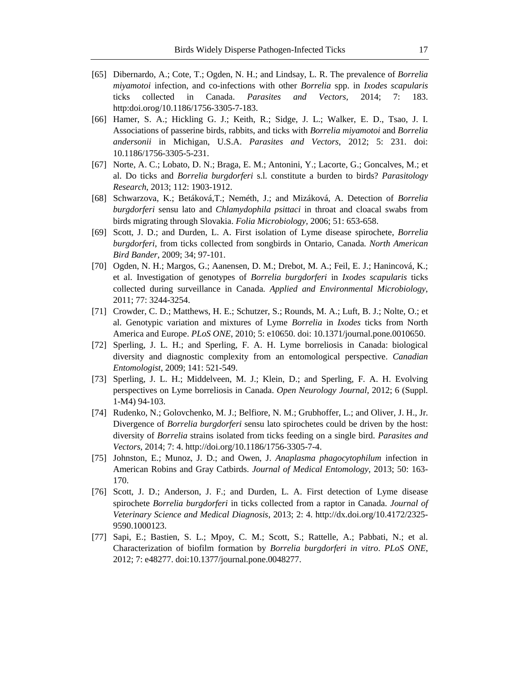- [65] Dibernardo, A.; Cote, T.; Ogden, N. H.; and Lindsay, L. R. The prevalence of *Borrelia miyamotoi* infection, and co-infections with other *Borrelia* spp. in *Ixodes scapularis* ticks collected in Canada. *Parasites and Vectors,* 2014; 7: 183. http:doi.orog/10.1186/1756-3305-7-183.
- [66] Hamer, S. A.; Hickling G. J.; Keith, R.; Sidge, J. L.; Walker, E. D., Tsao, J. I. Associations of passerine birds, rabbits, and ticks with *Borrelia miyamotoi* and *Borrelia andersonii* in Michigan, U.S.A. *Parasites and Vectors*, 2012; 5: 231. doi: 10.1186/1756-3305-5-231.
- [67] Norte, A. C.; Lobato, D. N.; Braga, E. M.; Antonini, Y.; Lacorte, G.; Goncalves, M.; et al. Do ticks and *Borrelia burgdorferi* s.l. constitute a burden to birds? *Parasitology Research*, 2013; 112: 1903-1912.
- [68] Schwarzova, K.; Betáková,T.; Neméth, J.; and Mizáková, A. Detection of *Borrelia burgdorferi* sensu lato and *Chlamydophila psittaci* in throat and cloacal swabs from birds migrating through Slovakia. *Folia Microbiology,* 2006; 51: 653-658.
- [69] Scott, J. D.; and Durden, L. A. First isolation of Lyme disease spirochete, *Borrelia burgdorferi*, from ticks collected from songbirds in Ontario, Canada. *North American Bird Bander*, 2009; 34; 97-101.
- [70] Ogden, N. H.; Margos, G.; Aanensen, D. M.; Drebot, M. A.; Feil, E. J.; Hanincová, K.; et al. Investigation of genotypes of *Borrelia burgdorferi* in *Ixodes scapularis* ticks collected during surveillance in Canada. *Applied and Environmental Microbiology*, 2011; 77: 3244-3254.
- [71] Crowder, C. D.; Matthews, H. E.; Schutzer, S.; Rounds, M. A.; Luft, B. J.; Nolte, O.; et al. Genotypic variation and mixtures of Lyme *Borrelia* in *Ixodes* ticks from North America and Europe. *PLoS ONE*, 2010; 5: e10650. doi: 10.1371/journal.pone.0010650.
- [72] Sperling, J. L. H.; and Sperling, F. A. H. Lyme borreliosis in Canada: biological diversity and diagnostic complexity from an entomological perspective. *Canadian Entomologist*, 2009; 141: 521-549.
- [73] Sperling, J. L. H.; Middelveen, M. J.; Klein, D.; and Sperling, F. A. H. Evolving perspectives on Lyme borreliosis in Canada. *Open Neurology Journal,* 2012; 6 (Suppl. 1-M4) 94-103.
- [74] Rudenko, N.; Golovchenko, M. J.; Belfiore, N. M.; Grubhoffer, L.; and Oliver, J. H., Jr. Divergence of *Borrelia burgdorferi* sensu lato spirochetes could be driven by the host: diversity of *Borrelia* strains isolated from ticks feeding on a single bird. *Parasites and Vectors*, 2014; 7: 4. http://doi.org/10.1186/1756-3305-7-4.
- [75] Johnston, E.; Munoz, J. D.; and Owen, J. *Anaplasma phagocytophilum* infection in American Robins and Gray Catbirds. *Journal of Medical Entomology,* 2013; 50: 163- 170.
- [76] Scott, J. D.; Anderson, J. F.; and Durden, L. A. First detection of Lyme disease spirochete *Borrelia burgdorferi* in ticks collected from a raptor in Canada. *Journal of Veterinary Science and Medical Diagnosis*, 2013; 2: 4. http://dx.doi.org/10.4172/2325- 9590.1000123.
- [77] Sapi, E.; Bastien, S. L.; Mpoy, C. M.; Scott, S.; Rattelle, A.; Pabbati, N.; et al. Characterization of biofilm formation by *Borrelia burgdorferi in vitro*. *PLoS ONE*, 2012; 7: e48277. doi:10.1377/journal.pone.0048277.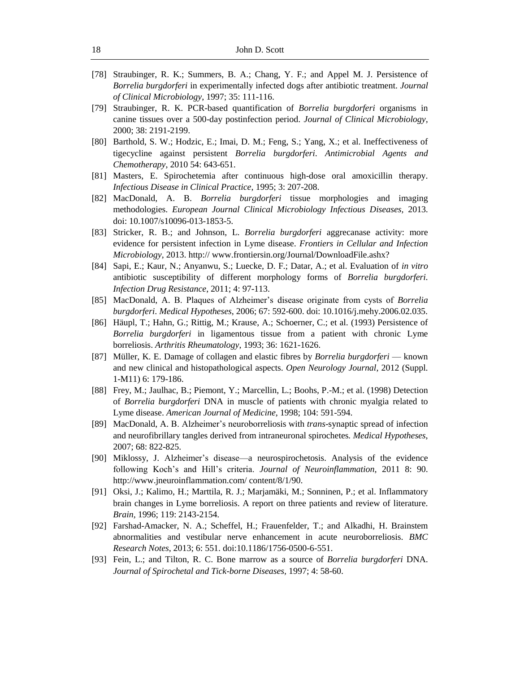- [78] Straubinger, R. K.; Summers, B. A.; Chang, Y. F.; and Appel M. J. Persistence of *Borrelia burgdorferi* in experimentally infected dogs after antibiotic treatment. *Journal of Clinical Microbiology*, 1997; 35: 111-116.
- [79] Straubinger, R. K. PCR-based quantification of *Borrelia burgdorferi* organisms in canine tissues over a 500-day postinfection period. *Journal of Clinical Microbiology,* 2000; 38: 2191-2199.
- [80] Barthold, S. W.; Hodzic, E.; Imai, D. M.; Feng, S.; Yang, X.; et al. Ineffectiveness of tigecycline against persistent *Borrelia burgdorferi*. *Antimicrobial Agents and Chemotherapy*, 2010 54: 643-651.
- [81] Masters, E. Spirochetemia after continuous high-dose oral amoxicillin therapy. *Infectious Disease in Clinical Practice*, 1995; 3: 207-208.
- [82] MacDonald, A. B. *Borrelia burgdorferi* tissue morphologies and imaging methodologies. *European Journal Clinical Microbiology Infectious Diseases,* 2013. doi: 10.1007/s10096-013-1853-5.
- [83] Stricker, R. B.; and Johnson, L. *Borrelia burgdorferi* aggrecanase activity: more evidence for persistent infection in Lyme disease. *Frontiers in Cellular and Infection Microbiology*, 2013. http:// www.frontiersin.org/Journal/DownloadFile.ashx?
- [84] Sapi, E.; Kaur, N.; Anyanwu, S.; Luecke, D. F.; Datar, A.; et al. Evaluation of *in vitro* antibiotic susceptibility of different morphology forms of *Borrelia burgdorferi*. *Infection Drug Resistance*, 2011; 4: 97-113.
- [85] MacDonald, A. B. Plaques of Alzheimer's disease originate from cysts of *Borrelia burgdorferi*. *Medical Hypotheses*, 2006; 67: 592-600. doi: 10.1016/j.mehy.2006.02.035.
- [86] Häupl, T.; Hahn, G.; Rittig, M.; Krause, A.; Schoerner, C.; et al. (1993) Persistence of *Borrelia burgdorferi* in ligamentous tissue from a patient with chronic Lyme borreliosis. *Arthritis Rheumatology*, 1993; 36: 1621-1626.
- [87] Müller, K. E. Damage of collagen and elastic fibres by *Borrelia burgdorferi* known and new clinical and histopathological aspects. *Open Neurology Journal*, 2012 (Suppl. 1-M11) 6: 179-186.
- [88] Frey, M.; Jaulhac, B.; Piemont, Y.; Marcellin, L.; Boohs, P.-M.; et al. (1998) Detection of *Borrelia burgdorferi* DNA in muscle of patients with chronic myalgia related to Lyme disease. *American Journal of Medicine,* 1998; 104: 591-594.
- [89] MacDonald, A. B. Alzheimer's neuroborreliosis with *trans*-synaptic spread of infection and neurofibrillary tangles derived from intraneuronal spirochetes*. Medical Hypotheses*, 2007; 68: 822-825.
- [90] Miklossy, J. Alzheimer's disease—a neurospirochetosis. Analysis of the evidence following Koch's and Hill's criteria. *Journal of Neuroinflammation,* 2011 8: 90. http://www.jneuroinflammation.com/ content/8/1/90.
- [91] Oksi, J.; Kalimo, H.; Marttila, R. J.; Marjamäki, M.; Sonninen, P.; et al. Inflammatory brain changes in Lyme borreliosis. A report on three patients and review of literature. *Brain,* 1996; 119: 2143-2154.
- [92] Farshad-Amacker, N. A.; Scheffel, H.; Frauenfelder, T.; and Alkadhi, H. Brainstem abnormalities and vestibular nerve enhancement in acute neuroborreliosis. *BMC Research Notes*, 2013; 6: 551. doi:10.1186/1756-0500-6-551.
- [93] Fein, L.; and Tilton, R. C. Bone marrow as a source of *Borrelia burgdorferi* DNA. *Journal of Spirochetal and Tick-borne Diseases,* 1997; 4: 58-60.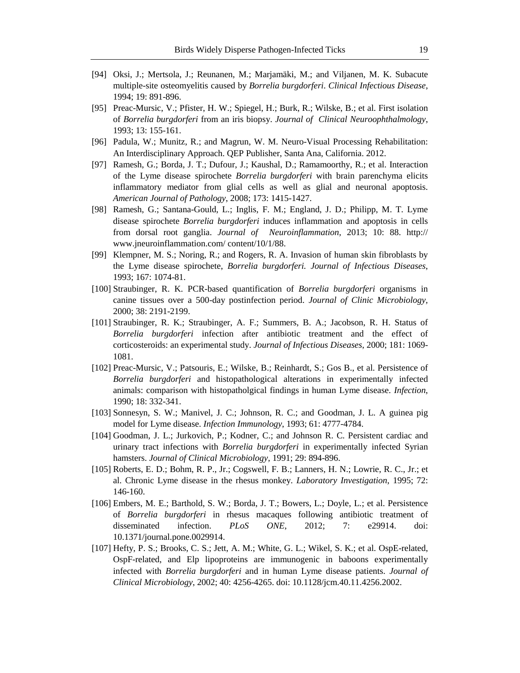- [94] Oksi, J.; Mertsola, J.; Reunanen, M.; Marjamäki, M.; and Viljanen, M. K. Subacute multiple-site osteomyelitis caused by *Borrelia burgdorferi*. *Clinical Infectious Disease*, 1994; 19: 891-896.
- [95] Preac-Mursic, V.; Pfister, H. W.; Spiegel, H.; Burk, R.; Wilske, B.; et al. First isolation of *Borrelia burgdorferi* from an iris biopsy. *Journal of Clinical Neuroophthalmology*, 1993; 13: 155-161.
- [96] Padula, W.; Munitz, R.; and Magrun, W. M. Neuro-Visual Processing Rehabilitation: An Interdisciplinary Approach. QEP Publisher, Santa Ana, California. 2012.
- [97] Ramesh, G.; Borda, J. T.; Dufour, J.; Kaushal, D.; Ramamoorthy, R.; et al. Interaction of the Lyme disease spirochete *Borrelia burgdorferi* with brain parenchyma elicits inflammatory mediator from glial cells as well as glial and neuronal apoptosis. *American Journal of Pathology*, 2008; 173: 1415-1427.
- [98] Ramesh, G.; Santana-Gould, L.; Inglis, F. M.; England, J. D.; Philipp, M. T. Lyme disease spirochete *Borrelia burgdorferi* induces inflammation and apoptosis in cells from dorsal root ganglia. *Journal of Neuroinflammation,* 2013; 10: 88. http:// www.jneuroinflammation.com/ content/10/1/88.
- [99] Klempner, M. S.; Noring, R.; and Rogers, R. A. Invasion of human skin fibroblasts by the Lyme disease spirochete, *Borrelia burgdorferi. Journal of Infectious Diseases*, 1993; 167: 1074-81.
- [100] Straubinger, R. K. PCR-based quantification of *Borrelia burgdorferi* organisms in canine tissues over a 500-day postinfection period. *Journal of Clinic Microbiology,* 2000; 38: 2191-2199.
- [101] Straubinger, R. K.; Straubinger, A. F.; Summers, B. A.; Jacobson, R. H. Status of *Borrelia burgdorferi* infection after antibiotic treatment and the effect of corticosteroids: an experimental study. *Journal of Infectious Diseases*, 2000; 181: 1069- 1081.
- [102] Preac-Mursic, V.; Patsouris, E.; Wilske, B.; Reinhardt, S.; Gos B., et al. Persistence of *Borrelia burgdorferi* and histopathological alterations in experimentally infected animals: comparison with histopatholgical findings in human Lyme disease. *Infection*, 1990; 18: 332-341.
- [103] Sonnesyn, S. W.; Manivel, J. C.; Johnson, R. C.; and Goodman, J. L. A guinea pig model for Lyme disease. *Infection Immunology*, 1993; 61: 4777-4784.
- [104] Goodman, J. L.; Jurkovich, P.; Kodner, C.; and Johnson R. C. Persistent cardiac and urinary tract infections with *Borrelia burgdorferi* in experimentally infected Syrian hamsters. *Journal of Clinical Microbiology,* 1991; 29: 894-896.
- [105] Roberts, E. D.; Bohm, R. P., Jr.; Cogswell, F. B.; Lanners, H. N.; Lowrie, R. C., Jr.; et al. Chronic Lyme disease in the rhesus monkey. *Laboratory Investigation*, 1995; 72: 146-160.
- [106] Embers, M. E.; Barthold, S. W.; Borda, J. T.; Bowers, L.; Doyle, L.; et al. Persistence of *Borrelia burgdorferi* in rhesus macaques following antibiotic treatment of disseminated infection. *PLoS ONE*, 2012; 7: e29914. doi: 10.1371/journal.pone.0029914.
- [107] Hefty, P. S.; Brooks, C. S.; Jett, A. M.; White, G. L.; Wikel, S. K.; et al. OspE-related, OspF-related, and Elp lipoproteins are immunogenic in baboons experimentally infected with *Borrelia burgdorferi* and in human Lyme disease patients. *Journal of Clinical Microbiology*, 2002; 40: 4256-4265. doi: 10.1128/jcm.40.11.4256.2002.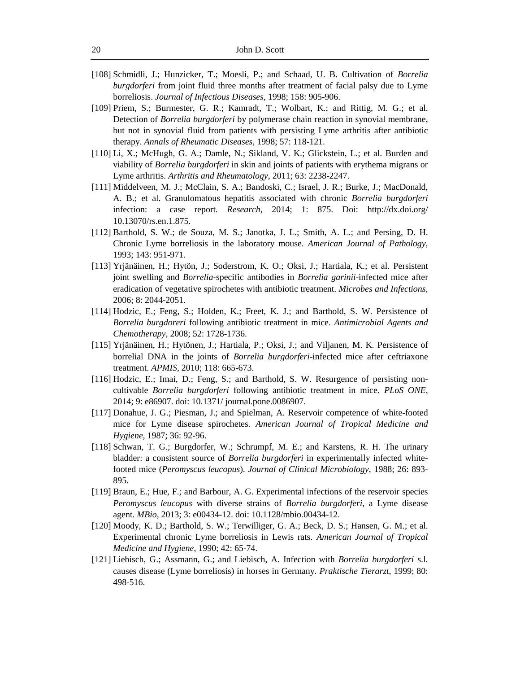- [108] Schmidli, J.; Hunzicker, T.; Moesli, P.; and Schaad, U. B. Cultivation of *Borrelia burgdorferi* from joint fluid three months after treatment of facial palsy due to Lyme borreliosis. *Journal of Infectious Diseases,* 1998; 158: 905-906.
- [109] Priem, S.; Burmester, G. R.; Kamradt, T.; Wolbart, K.; and Rittig, M. G.; et al. Detection of *Borrelia burgdorferi* by polymerase chain reaction in synovial membrane, but not in synovial fluid from patients with persisting Lyme arthritis after antibiotic therapy. *Annals of Rheumatic Diseases,* 1998; 57: 118-121.
- [110] Li, X.; McHugh, G. A.; Damle, N.; Sikland, V. K.; Glickstein, L.; et al. Burden and viability of *Borrelia burgdorferi* in skin and joints of patients with erythema migrans or Lyme arthritis. *Arthritis and Rheumatology*, 2011; 63: 2238-2247.
- [111] Middelveen, M. J.; McClain, S. A.; Bandoski, C.; Israel, J. R.; Burke, J.; MacDonald, A. B.; et al. Granulomatous hepatitis associated with chronic *Borrelia burgdorferi* infection: a case report. *Research*, 2014; 1: 875. Doi: http://dx.doi.org/ 10.13070/rs.en.1.875.
- [112] Barthold, S. W.; de Souza, M. S.; Janotka, J. L.; Smith, A. L.; and Persing, D. H. Chronic Lyme borreliosis in the laboratory mouse. *American Journal of Pathology*, 1993; 143: 951-971.
- [113] Yrjänäinen, H.; Hytön, J.; Soderstrom, K. O.; Oksi, J.; Hartiala, K.; et al. Persistent joint swelling and *Borrelia*-specific antibodies in *Borrelia garinii*-infected mice after eradication of vegetative spirochetes with antibiotic treatment. *Microbes and Infections*, 2006; 8: 2044-2051.
- [114] Hodzic, E.; Feng, S.; Holden, K.; Freet, K. J.; and Barthold, S. W. Persistence of *Borrelia burgdoreri* following antibiotic treatment in mice. *Antimicrobial Agents and Chemotherapy*, 2008; 52: 1728-1736.
- [115] Yrjänäinen, H.; Hytönen, J.; Hartiala, P.; Oksi, J.; and Viljanen, M. K. Persistence of borrelial DNA in the joints of *Borrelia burgdorferi*-infected mice after ceftriaxone treatment. *APMIS,* 2010; 118: 665-673.
- [116] Hodzic, E.; Imai, D.; Feng, S.; and Barthold, S. W. Resurgence of persisting noncultivable *Borrelia burgdorferi* following antibiotic treatment in mice. *PLoS ONE,* 2014; 9: e86907. doi: 10.1371/ journal.pone.0086907.
- [117] Donahue, J. G.; Piesman, J.; and Spielman, A. Reservoir competence of white-footed mice for Lyme disease spirochetes. *American Journal of Tropical Medicine and Hygiene,* 1987; 36: 92-96.
- [118] Schwan, T. G.; Burgdorfer, W.; Schrumpf, M. E.; and Karstens, R. H. The urinary bladder: a consistent source of *Borrelia burgdorferi* in experimentally infected whitefooted mice (*Peromyscus leucopus*). *Journal of Clinical Microbiology*, 1988; 26: 893- 895.
- [119] Braun, E.; Hue, F.; and Barbour, A. G. Experimental infections of the reservoir species *Peromyscus leucopus* with diverse strains of *Borrelia burgdorferi*, a Lyme disease agent. *MBio,* 2013; 3: e00434-12. doi: 10.1128/mbio.00434-12.
- [120] Moody, K. D.; Barthold, S. W.; Terwilliger, G. A.; Beck, D. S.; Hansen, G. M.; et al. Experimental chronic Lyme borreliosis in Lewis rats. *American Journal of Tropical Medicine and Hygiene*, 1990; 42: 65-74.
- [121] Liebisch, G.; Assmann, G.; and Liebisch, A. Infection with *Borrelia burgdorferi* s.l. causes disease (Lyme borreliosis) in horses in Germany. *Praktische Tierarzt*, 1999; 80: 498-516.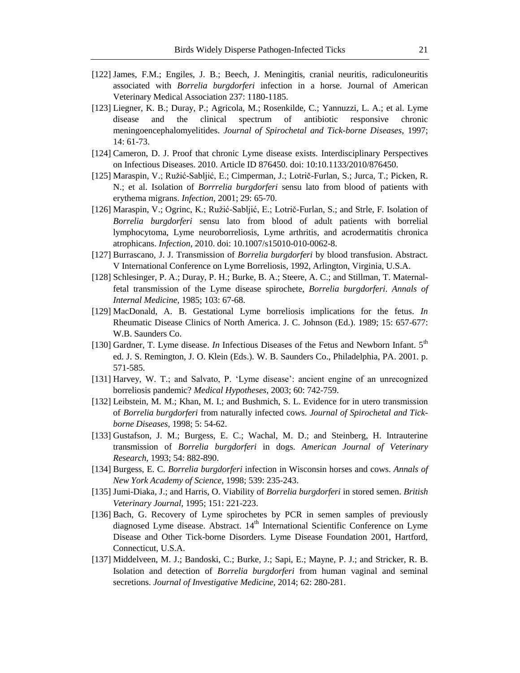- [122] James, F.M.; Engiles, J. B.; Beech, J. Meningitis, cranial neuritis, radiculoneuritis associated with *Borrelia burgdorferi* infection in a horse. Journal of American Veterinary Medical Association 237: 1180-1185.
- [123] Liegner, K. B.; Duray, P.; Agricola, M.; Rosenkilde, C.; Yannuzzi, L. A.; et al. Lyme disease and the clinical spectrum of antibiotic responsive chronic meningoencephalomyelitides. *Journal of Spirochetal and Tick-borne Diseases,* 1997; 14: 61-73.
- [124] Cameron, D. J. Proof that chronic Lyme disease exists. Interdisciplinary Perspectives on Infectious Diseases. 2010. Article ID 876450. doi: 10:10.1133/2010/876450.
- [125] Maraspin, V.; Ružić-Sabljić, E.; Cimperman, J.; Lotrič-Furlan, S.; Jurca, T.; Picken, R. N.; et al. Isolation of *Borrrelia burgdorferi* sensu lato from blood of patients with erythema migrans. *Infection,* 2001; 29: 65-70.
- [126] Maraspin, V.; Ogrinc, K.; Ružić-Sabljić, E.; Lotrič-Furlan, S.; and Strle, F. Isolation of *Borrelia burgdorferi* sensu lato from blood of adult patients with borrelial lymphocytoma, Lyme neuroborreliosis, Lyme arthritis, and acrodermatitis chronica atrophicans. *Infection*, 2010. doi: 10.1007/s15010-010-0062-8.
- [127] Burrascano, J. J. Transmission of *Borrelia burgdorferi* by blood transfusion. Abstract. V International Conference on Lyme Borreliosis, 1992, Arlington, Virginia, U.S.A.
- [128] Schlesinger, P. A.; Duray, P. H.; Burke, B. A.; Steere, A. C.; and Stillman, T. Maternalfetal transmission of the Lyme disease spirochete, *Borrelia burgdorferi*. *Annals of Internal Medicine*, 1985; 103: 67-68.
- [129] MacDonald, A. B. Gestational Lyme borreliosis implications for the fetus. *In* Rheumatic Disease Clinics of North America. J. C. Johnson (Ed.). 1989; 15: 657-677: W.B. Saunders Co.
- [130] Gardner, T. Lyme disease. *In* Infectious Diseases of the Fetus and Newborn Infant. 5<sup>th</sup> ed. J. S. Remington, J. O. Klein (Eds.). W. B. Saunders Co., Philadelphia, PA. 2001. p. 571-585.
- [131] Harvey, W. T.; and Salvato, P. ‗Lyme disease': ancient engine of an unrecognized borreliosis pandemic? *Medical Hypotheses*, 2003; 60: 742-759.
- [132] Leibstein, M. M.; Khan, M. I.; and Bushmich, S. L. Evidence for in utero transmission of *Borrelia burgdorferi* from naturally infected cows. *Journal of Spirochetal and Tickborne Diseases*, 1998; 5: 54-62.
- [133] Gustafson, J. M.; Burgess, E. C.; Wachal, M. D.; and Steinberg, H. Intrauterine transmission of *Borrelia burgdorferi* in dogs. *American Journal of Veterinary Research,* 1993; 54: 882-890.
- [134] Burgess, E. C. *Borrelia burgdorferi* infection in Wisconsin horses and cows. *Annals of New York Academy of Science,* 1998; 539: 235-243.
- [135] Jumi-Diaka, J.; and Harris, O. Viability of *Borrelia burgdorferi* in stored semen. *British Veterinary Journal*, 1995; 151: 221-223.
- [136] Bach, G. Recovery of Lyme spirochetes by PCR in semen samples of previously diagnosed Lyme disease. Abstract.  $14<sup>th</sup>$  International Scientific Conference on Lyme Disease and Other Tick-borne Disorders. Lyme Disease Foundation 2001, Hartford, Connecticut, U.S.A.
- [137] Middelveen, M. J.; Bandoski, C.; Burke, J.; Sapi, E.; Mayne, P. J.; and Stricker, R. B. Isolation and detection of *Borrelia burgdorferi* from human vaginal and seminal secretions. *Journal of Investigative Medicine,* 2014; 62: 280-281.